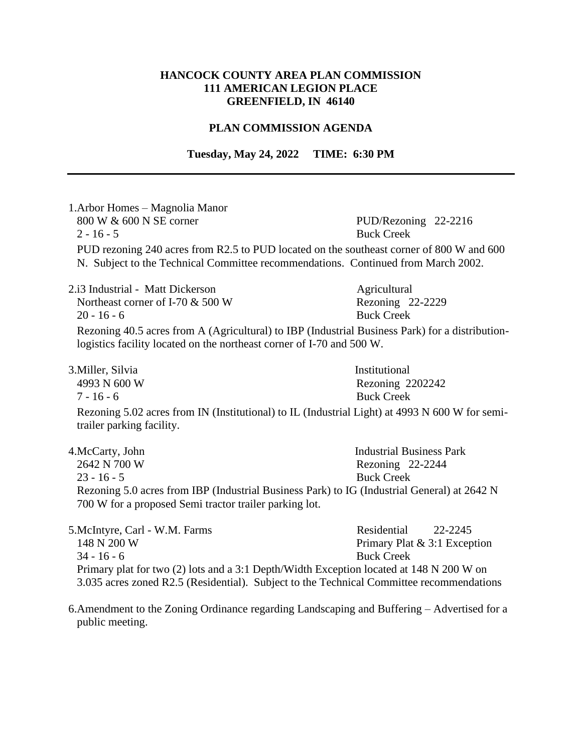## **HANCOCK COUNTY AREA PLAN COMMISSION 111 AMERICAN LEGION PLACE GREENFIELD, IN 46140**

## **PLAN COMMISSION AGENDA**

**Tuesday, May 24, 2022 TIME: 6:30 PM**

| 1. Arbor Homes - Magnolia Manor<br>800 W & 600 N SE corner<br>$2 - 16 - 5$                                                                                                    | PUD/Rezoning 22-2216<br><b>Buck Creek</b>              |
|-------------------------------------------------------------------------------------------------------------------------------------------------------------------------------|--------------------------------------------------------|
| PUD rezoning 240 acres from R2.5 to PUD located on the southeast corner of 800 W and 600<br>N. Subject to the Technical Committee recommendations. Continued from March 2002. |                                                        |
| 2.13 Industrial - Matt Dickerson<br>Northeast corner of I-70 & 500 W                                                                                                          | Agricultural<br>Rezoning 22-2229                       |
| $20 - 16 - 6$                                                                                                                                                                 | <b>Buck Creek</b>                                      |
| Rezoning 40.5 acres from A (Agricultural) to IBP (Industrial Business Park) for a distribution-<br>logistics facility located on the northeast corner of I-70 and 500 W.      |                                                        |
| 3. Miller, Silvia<br>4993 N 600 W<br>$7 - 16 - 6$                                                                                                                             | Institutional<br>Rezoning 2202242<br><b>Buck Creek</b> |
| Rezoning 5.02 acres from IN (Institutional) to IL (Industrial Light) at 4993 N 600 W for semi-<br>trailer parking facility.                                                   |                                                        |
| 4.McCarty, John                                                                                                                                                               | <b>Industrial Business Park</b>                        |
| 2642 N 700 W                                                                                                                                                                  | Rezoning 22-2244                                       |
| $23 - 16 - 5$                                                                                                                                                                 | <b>Buck Creek</b>                                      |
| Rezoning 5.0 acres from IBP (Industrial Business Park) to IG (Industrial General) at 2642 N<br>700 W for a proposed Semi tractor trailer parking lot.                         |                                                        |
| 5. McIntyre, Carl - W.M. Farms                                                                                                                                                | Residential<br>22-2245                                 |
| 148 N 200 W                                                                                                                                                                   | Primary Plat & 3:1 Exception                           |
| $34 - 16 - 6$                                                                                                                                                                 | <b>Buck Creek</b>                                      |
| Primary plat for two (2) lots and a 3:1 Depth/Width Exception located at 148 N 200 W on                                                                                       |                                                        |

3.035 acres zoned R2.5 (Residential). Subject to the Technical Committee recommendations

6.Amendment to the Zoning Ordinance regarding Landscaping and Buffering – Advertised for a public meeting.